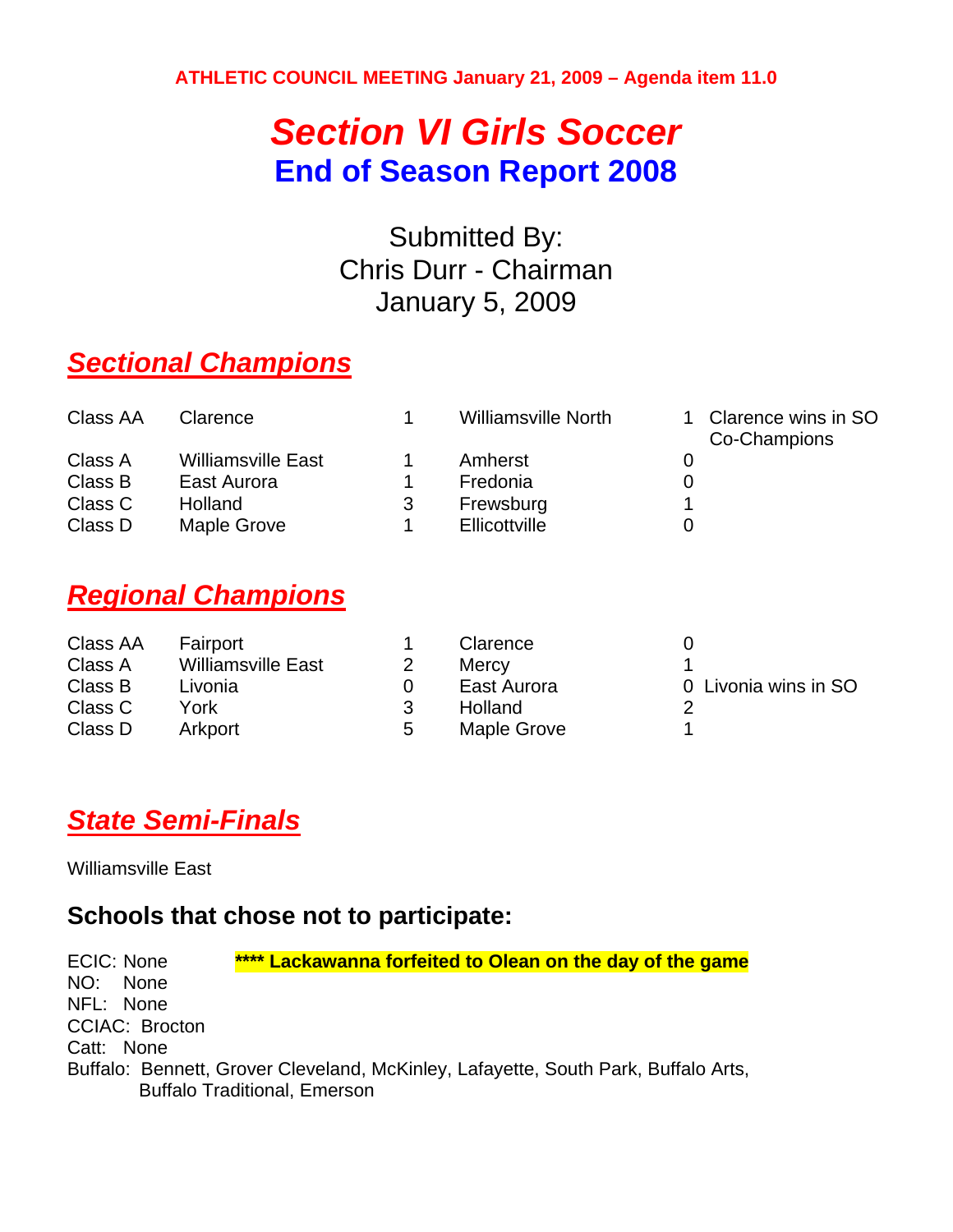**ATHLETIC COUNCIL MEETING January 21, 2009 – Agenda item 11.0** 

# *Section VI Girls Soccer*  **End of Season Report 2008**

### Submitted By: Chris Durr - Chairman January 5, 2009

# *Sectional Champions*

| Class AA | Clarence                  | <b>Williamsville North</b> | Clarence wins in SO<br>Co-Champions |
|----------|---------------------------|----------------------------|-------------------------------------|
| Class A  | <b>Williamsville East</b> | Amherst                    |                                     |
| Class B  | East Aurora               | Fredonia                   |                                     |
| Class C  | <b>Holland</b>            | Frewsburg                  |                                     |
| Class D  | Maple Grove               | Ellicottville              |                                     |

# *Regional Champions*

| Class AA | Fairport                  |   | Clarence       |                      |
|----------|---------------------------|---|----------------|----------------------|
| Class A  | <b>Williamsville East</b> |   | Mercy          |                      |
| Class B  | Livonia                   |   | East Aurora    | 0 Livonia wins in SO |
| Class C  | York                      |   | <b>Holland</b> |                      |
| Class D  | Arkport                   | 5 | Maple Grove    |                      |

### *State Semi-Finals*

Williamsville East

#### **Schools that chose not to participate:**

ECIC: None **\*\*\*\* Lackawanna forfeited to Olean on the day of the game**  NO: None NFL: None CCIAC: Brocton Catt: None Buffalo: Bennett, Grover Cleveland, McKinley, Lafayette, South Park, Buffalo Arts, Buffalo Traditional, Emerson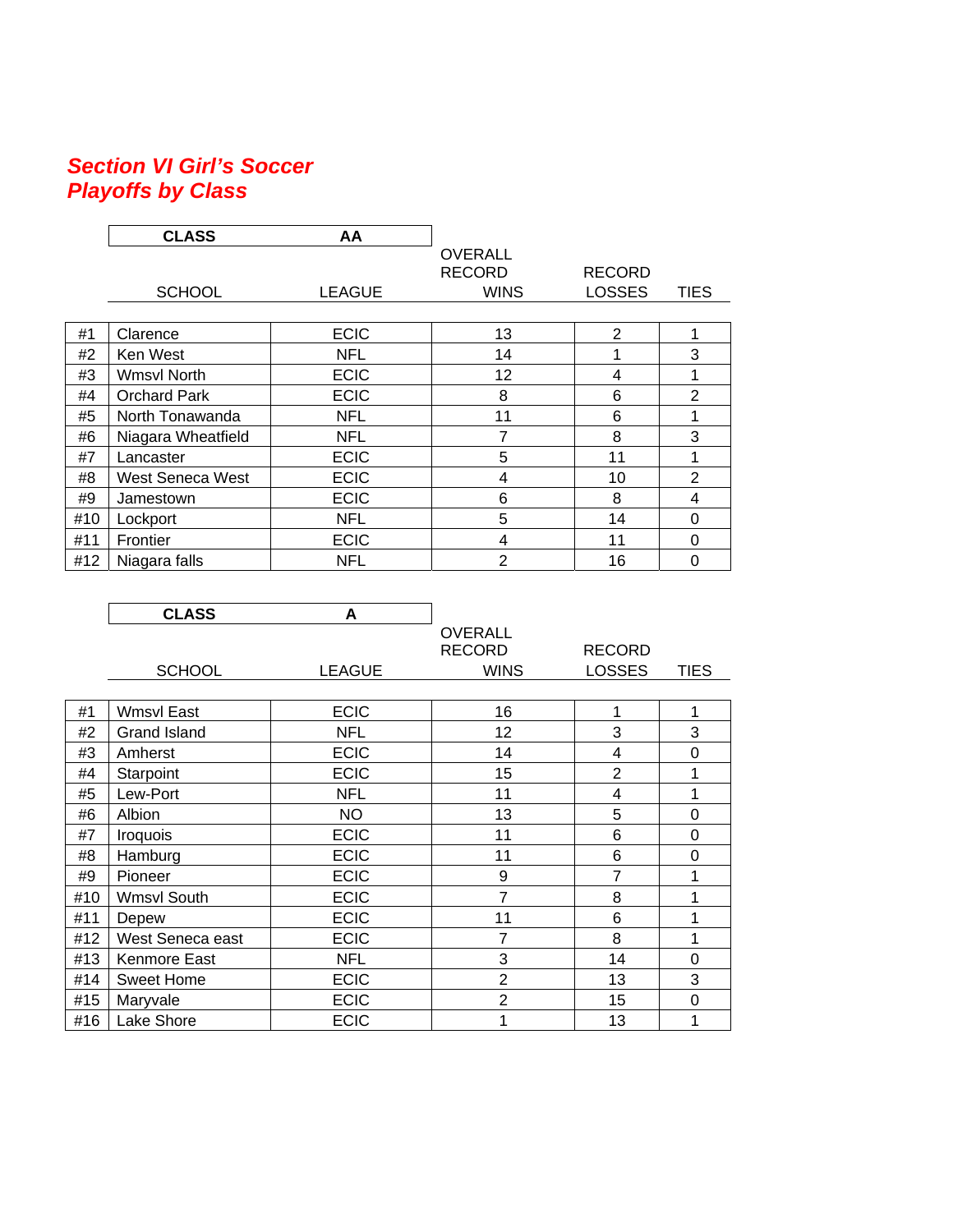#### *Section VI Girl's Soccer Playoffs by Class*

|     | <b>CLASS</b>        | AA            |                |                |                |
|-----|---------------------|---------------|----------------|----------------|----------------|
|     |                     |               | <b>OVERALL</b> |                |                |
|     |                     |               | <b>RECORD</b>  | <b>RECORD</b>  |                |
|     | <b>SCHOOL</b>       | <b>LEAGUE</b> | <b>WINS</b>    | <b>LOSSES</b>  | TIES           |
|     |                     |               |                |                |                |
| #1  | Clarence            | <b>ECIC</b>   | 13             | $\overline{2}$ | 1              |
| #2  | Ken West            | <b>NFL</b>    | 14             |                | 3              |
| #3  | Wmsvl North         | <b>ECIC</b>   | 12             | 4              | 1              |
| #4  | <b>Orchard Park</b> | <b>ECIC</b>   | 8              | 6              | $\overline{2}$ |
| #5  | North Tonawanda     | <b>NFL</b>    | 11             | 6              | 1              |
| #6  | Niagara Wheatfield  | <b>NFL</b>    |                | 8              | 3              |
| #7  | Lancaster           | <b>ECIC</b>   | 5              | 11             | 1              |
| #8  | West Seneca West    | <b>ECIC</b>   | 4              | 10             | 2              |
| #9  | Jamestown           | <b>ECIC</b>   | 6              | 8              | 4              |
| #10 | Lockport            | <b>NFL</b>    | 5              | 14             | 0              |
| #11 | Frontier            | <b>ECIC</b>   | 4              | 11             | 0              |
| #12 | Niagara falls       | <b>NFL</b>    | 2              | 16             | 0              |

|     | <b>CLASS</b>        | A             |                                 |                |             |
|-----|---------------------|---------------|---------------------------------|----------------|-------------|
|     |                     |               | <b>OVERALL</b><br><b>RECORD</b> | <b>RECORD</b>  |             |
|     | <b>SCHOOL</b>       | <b>LEAGUE</b> | <b>WINS</b>                     | <b>LOSSES</b>  | <b>TIES</b> |
| #1  | <b>Wmsvl East</b>   | <b>ECIC</b>   | 16                              | 1              | 1           |
| #2  | <b>Grand Island</b> | <b>NFL</b>    | 12                              | 3              | 3           |
| #3  | Amherst             | <b>ECIC</b>   | 14                              | 4              | 0           |
| #4  | Starpoint           | <b>ECIC</b>   | 15                              | $\overline{2}$ | 1           |
| #5  | Lew-Port            | <b>NFL</b>    | 11                              | 4              | 1           |
| #6  | Albion              | <b>NO</b>     | 13                              | 5              | $\mathbf 0$ |
| #7  | Iroquois            | <b>ECIC</b>   | 11                              | 6              | 0           |
| #8  | Hamburg             | <b>ECIC</b>   | 11                              | 6              | 0           |
| #9  | Pioneer             | <b>ECIC</b>   | 9                               | $\overline{7}$ | 1           |
| #10 | <b>Wmsvl South</b>  | <b>ECIC</b>   | $\overline{7}$                  | 8              | 1           |
| #11 | Depew               | <b>ECIC</b>   | 11                              | 6              | 1           |
| #12 | West Seneca east    | <b>ECIC</b>   | $\overline{7}$                  | 8              | 1           |
| #13 | Kenmore East        | <b>NFL</b>    | 3                               | 14             | 0           |
| #14 | Sweet Home          | <b>ECIC</b>   | $\overline{2}$                  | 13             | 3           |
| #15 | Maryvale            | <b>ECIC</b>   | $\overline{2}$                  | 15             | 0           |
| #16 | Lake Shore          | <b>ECIC</b>   | 1                               | 13             | 1           |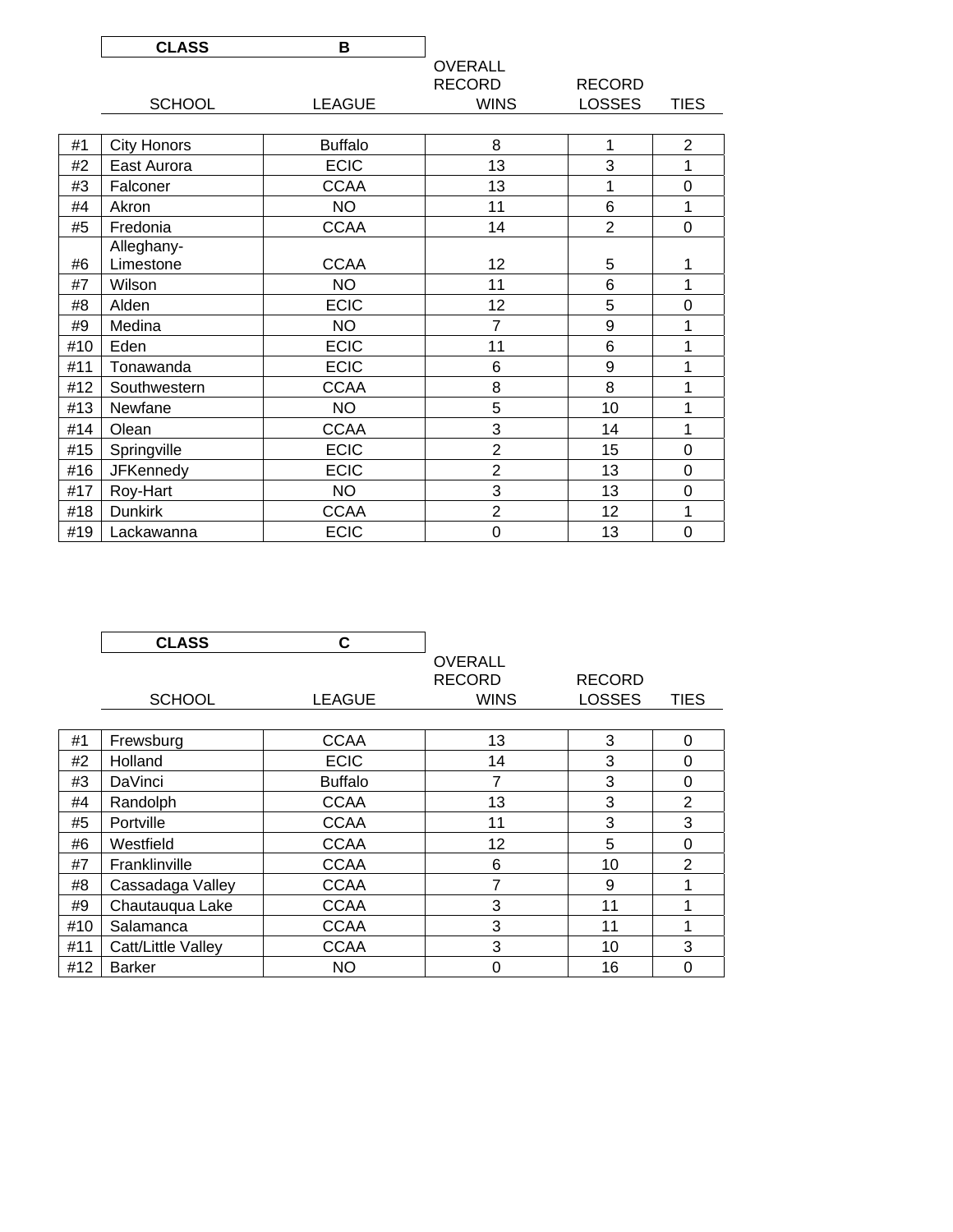|     | <b>CLASS</b>            | B              |                |                 |                |
|-----|-------------------------|----------------|----------------|-----------------|----------------|
|     |                         |                | <b>OVERALL</b> |                 |                |
|     |                         |                | <b>RECORD</b>  | <b>RECORD</b>   |                |
|     | <b>SCHOOL</b>           | <b>LEAGUE</b>  | <b>WINS</b>    | <b>LOSSES</b>   | <b>TIES</b>    |
|     |                         |                |                |                 |                |
| #1  | <b>City Honors</b>      | <b>Buffalo</b> | 8              | 1               | $\overline{2}$ |
| #2  | East Aurora             | <b>ECIC</b>    | 13             | 3               | 1              |
| #3  | Falconer                | <b>CCAA</b>    | 13             | 1               | $\mathbf 0$    |
| #4  | Akron                   | <b>NO</b>      | 11             | 6               | 1              |
| #5  | Fredonia                | <b>CCAA</b>    | 14             | $\overline{2}$  | 0              |
| #6  | Alleghany-<br>Limestone | <b>CCAA</b>    | 12             | 5               | 1              |
| #7  | Wilson                  | <b>NO</b>      | 11             | 6               | 1              |
| #8  | Alden                   | <b>ECIC</b>    | 12             | 5               | $\mathbf 0$    |
| #9  | Medina                  | <b>NO</b>      | $\overline{7}$ | 9               | 1              |
| #10 | Eden                    | <b>ECIC</b>    | 11             | $6\phantom{1}6$ | 1              |
| #11 | Tonawanda               | <b>ECIC</b>    | 6              | 9               | 1              |
| #12 | Southwestern            | <b>CCAA</b>    | 8              | 8               | 1              |
| #13 | Newfane                 | <b>NO</b>      | 5              | 10              | 1              |
| #14 | Olean                   | <b>CCAA</b>    | 3              | 14              | 1              |
| #15 | Springville             | <b>ECIC</b>    | $\overline{2}$ | 15              | $\mathbf 0$    |
| #16 | <b>JFKennedy</b>        | <b>ECIC</b>    | $\overline{2}$ | 13              | $\mathbf 0$    |
| #17 | Roy-Hart                | <b>NO</b>      | 3              | 13              | $\mathbf 0$    |
| #18 | <b>Dunkirk</b>          | <b>CCAA</b>    | $\overline{2}$ | 12              | 1              |
| #19 | Lackawanna              | <b>ECIC</b>    | 0              | 13              | $\overline{0}$ |

|     | <b>CLASS</b>       | C              |                |               |                |
|-----|--------------------|----------------|----------------|---------------|----------------|
|     |                    |                | <b>OVERALL</b> |               |                |
|     |                    |                | <b>RECORD</b>  | <b>RECORD</b> |                |
|     | <b>SCHOOL</b>      | <b>LEAGUE</b>  | <b>WINS</b>    | <b>LOSSES</b> | <b>TIES</b>    |
|     |                    |                |                |               |                |
| #1  | Frewsburg          | <b>CCAA</b>    | 13             | 3             | 0              |
| #2  | Holland            | <b>ECIC</b>    | 14             | 3             | 0              |
| #3  | DaVinci            | <b>Buffalo</b> | 7              | 3             | 0              |
| #4  | Randolph           | <b>CCAA</b>    | 13             | 3             | 2              |
| #5  | Portville          | <b>CCAA</b>    | 11             | 3             | 3              |
| #6  | Westfield          | <b>CCAA</b>    | 12             | 5             | 0              |
| #7  | Franklinville      | <b>CCAA</b>    | 6              | 10            | $\overline{2}$ |
| #8  | Cassadaga Valley   | <b>CCAA</b>    | 7              | 9             | 1              |
| #9  | Chautauqua Lake    | <b>CCAA</b>    | 3              | 11            | 1              |
| #10 | Salamanca          | <b>CCAA</b>    | 3              | 11            | 1              |
| #11 | Catt/Little Valley | <b>CCAA</b>    | 3              | 10            | 3              |
| #12 | <b>Barker</b>      | <b>NO</b>      | 0              | 16            | 0              |